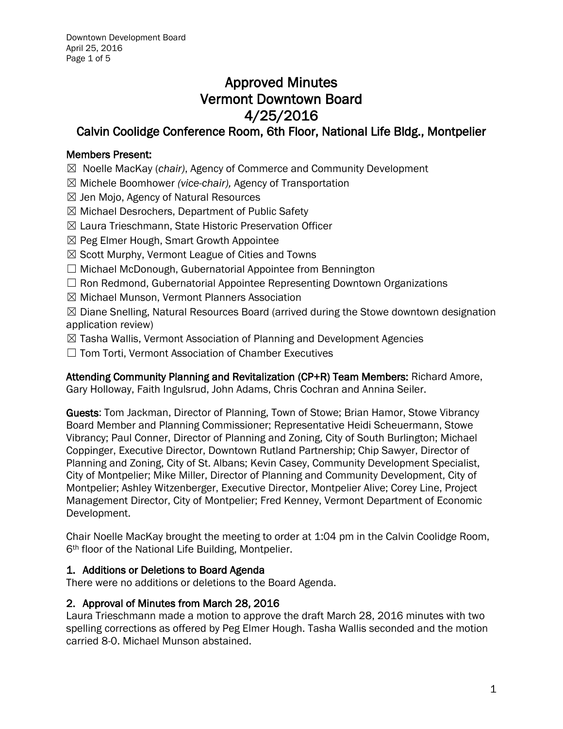# Approved Minutes Vermont Downtown Board 4/25/2016

# Calvin Coolidge Conference Room, 6th Floor, National Life Bldg., Montpelier

# Members Present:

☒ Noelle MacKay (*chair)*, Agency of Commerce and Community Development

- ☒ Michele Boomhower *(vice-chair),* Agency of Transportation
- ☒ Jen Mojo, Agency of Natural Resources
- ☒ Michael Desrochers, Department of Public Safety
- ☒ Laura Trieschmann, State Historic Preservation Officer
- $\boxtimes$  Peg Elmer Hough, Smart Growth Appointee
- $\boxtimes$  Scott Murphy, Vermont League of Cities and Towns
- ☐ Michael McDonough, Gubernatorial Appointee from Bennington
- □ Ron Redmond, Gubernatorial Appointee Representing Downtown Organizations
- ☒ Michael Munson, Vermont Planners Association

 $\boxtimes$  Diane Snelling, Natural Resources Board (arrived during the Stowe downtown designation application review)

- ☒ Tasha Wallis, Vermont Association of Planning and Development Agencies
- ☐ Tom Torti, Vermont Association of Chamber Executives

Attending Community Planning and Revitalization (CP+R) Team Members: Richard Amore, Gary Holloway, Faith Ingulsrud, John Adams, Chris Cochran and Annina Seiler.

Guests: Tom Jackman, Director of Planning, Town of Stowe; Brian Hamor, Stowe Vibrancy Board Member and Planning Commissioner; Representative Heidi Scheuermann, Stowe Vibrancy; Paul Conner, Director of Planning and Zoning, City of South Burlington; Michael Coppinger, Executive Director, Downtown Rutland Partnership; Chip Sawyer, Director of Planning and Zoning, City of St. Albans; Kevin Casey, Community Development Specialist, City of Montpelier; Mike Miller, Director of Planning and Community Development, City of Montpelier; Ashley Witzenberger, Executive Director, Montpelier Alive; Corey Line, Project Management Director, City of Montpelier; Fred Kenney, Vermont Department of Economic Development.

Chair Noelle MacKay brought the meeting to order at 1:04 pm in the Calvin Coolidge Room, 6<sup>th</sup> floor of the National Life Building, Montpelier.

# 1. Additions or Deletions to Board Agenda

There were no additions or deletions to the Board Agenda.

# 2. Approval of Minutes from March 28, 2016

Laura Trieschmann made a motion to approve the draft March 28, 2016 minutes with two spelling corrections as offered by Peg Elmer Hough. Tasha Wallis seconded and the motion carried 8-0. Michael Munson abstained.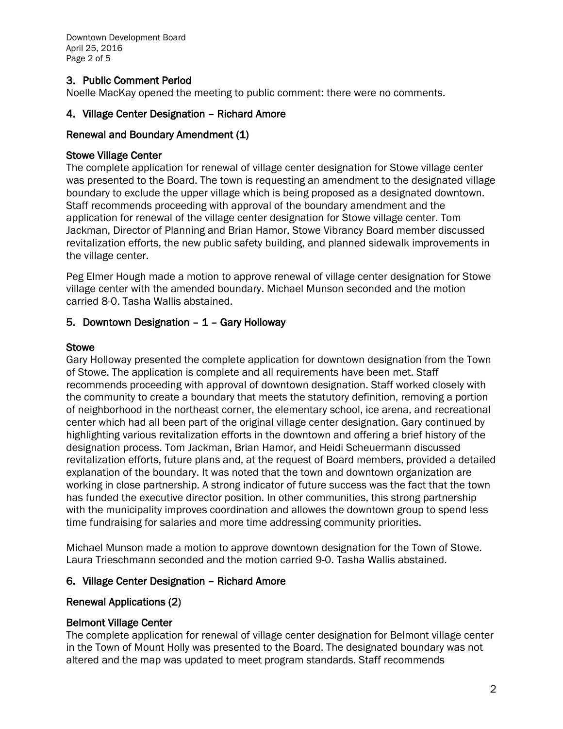Downtown Development Board April 25, 2016 Page 2 of 5

# 3. Public Comment Period

Noelle MacKay opened the meeting to public comment: there were no comments.

#### 4. Village Center Designation – Richard Amore

#### Renewal and Boundary Amendment (1)

#### Stowe Village Center

The complete application for renewal of village center designation for Stowe village center was presented to the Board. The town is requesting an amendment to the designated village boundary to exclude the upper village which is being proposed as a designated downtown. Staff recommends proceeding with approval of the boundary amendment and the application for renewal of the village center designation for Stowe village center. Tom Jackman, Director of Planning and Brian Hamor, Stowe Vibrancy Board member discussed revitalization efforts, the new public safety building, and planned sidewalk improvements in the village center.

Peg Elmer Hough made a motion to approve renewal of village center designation for Stowe village center with the amended boundary. Michael Munson seconded and the motion carried 8-0. Tasha Wallis abstained.

# 5. Downtown Designation  $-1$  – Gary Holloway

#### Stowe

Gary Holloway presented the complete application for downtown designation from the Town of Stowe. The application is complete and all requirements have been met. Staff recommends proceeding with approval of downtown designation. Staff worked closely with the community to create a boundary that meets the statutory definition, removing a portion of neighborhood in the northeast corner, the elementary school, ice arena, and recreational center which had all been part of the original village center designation. Gary continued by highlighting various revitalization efforts in the downtown and offering a brief history of the designation process. Tom Jackman, Brian Hamor, and Heidi Scheuermann discussed revitalization efforts, future plans and, at the request of Board members, provided a detailed explanation of the boundary. It was noted that the town and downtown organization are working in close partnership. A strong indicator of future success was the fact that the town has funded the executive director position. In other communities, this strong partnership with the municipality improves coordination and allowes the downtown group to spend less time fundraising for salaries and more time addressing community priorities.

Michael Munson made a motion to approve downtown designation for the Town of Stowe. Laura Trieschmann seconded and the motion carried 9-0. Tasha Wallis abstained.

# 6. Village Center Designation – Richard Amore

# Renewal Applications (2)

# Belmont Village Center

The complete application for renewal of village center designation for Belmont village center in the Town of Mount Holly was presented to the Board. The designated boundary was not altered and the map was updated to meet program standards. Staff recommends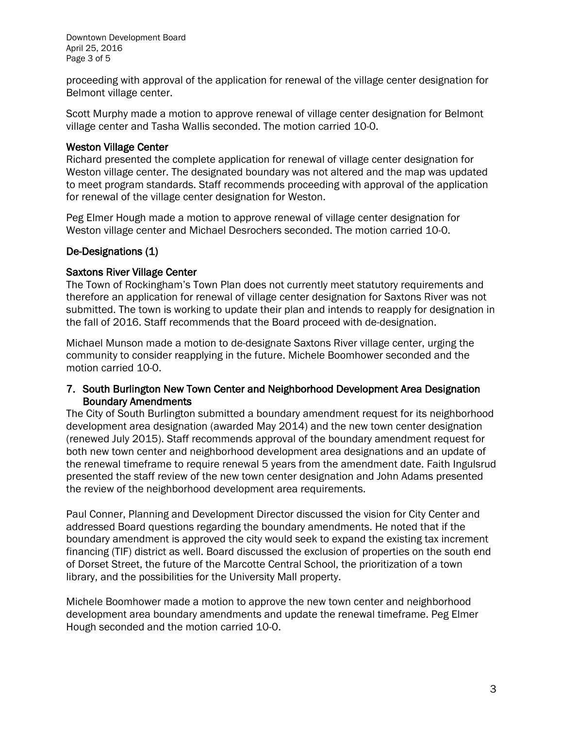Downtown Development Board April 25, 2016 Page 3 of 5

proceeding with approval of the application for renewal of the village center designation for Belmont village center.

Scott Murphy made a motion to approve renewal of village center designation for Belmont village center and Tasha Wallis seconded. The motion carried 10-0.

#### Weston Village Center

Richard presented the complete application for renewal of village center designation for Weston village center. The designated boundary was not altered and the map was updated to meet program standards. Staff recommends proceeding with approval of the application for renewal of the village center designation for Weston.

Peg Elmer Hough made a motion to approve renewal of village center designation for Weston village center and Michael Desrochers seconded. The motion carried 10-0.

# De-Designations (1)

#### Saxtons River Village Center

The Town of Rockingham's Town Plan does not currently meet statutory requirements and therefore an application for renewal of village center designation for Saxtons River was not submitted. The town is working to update their plan and intends to reapply for designation in the fall of 2016. Staff recommends that the Board proceed with de-designation.

Michael Munson made a motion to de-designate Saxtons River village center, urging the community to consider reapplying in the future. Michele Boomhower seconded and the motion carried 10-0.

#### 7. South Burlington New Town Center and Neighborhood Development Area Designation Boundary Amendments

The City of South Burlington submitted a boundary amendment request for its neighborhood development area designation (awarded May 2014) and the new town center designation (renewed July 2015). Staff recommends approval of the boundary amendment request for both new town center and neighborhood development area designations and an update of the renewal timeframe to require renewal 5 years from the amendment date. Faith Ingulsrud presented the staff review of the new town center designation and John Adams presented the review of the neighborhood development area requirements.

Paul Conner, Planning and Development Director discussed the vision for City Center and addressed Board questions regarding the boundary amendments. He noted that if the boundary amendment is approved the city would seek to expand the existing tax increment financing (TIF) district as well. Board discussed the exclusion of properties on the south end of Dorset Street, the future of the Marcotte Central School, the prioritization of a town library, and the possibilities for the University Mall property.

Michele Boomhower made a motion to approve the new town center and neighborhood development area boundary amendments and update the renewal timeframe. Peg Elmer Hough seconded and the motion carried 10-0.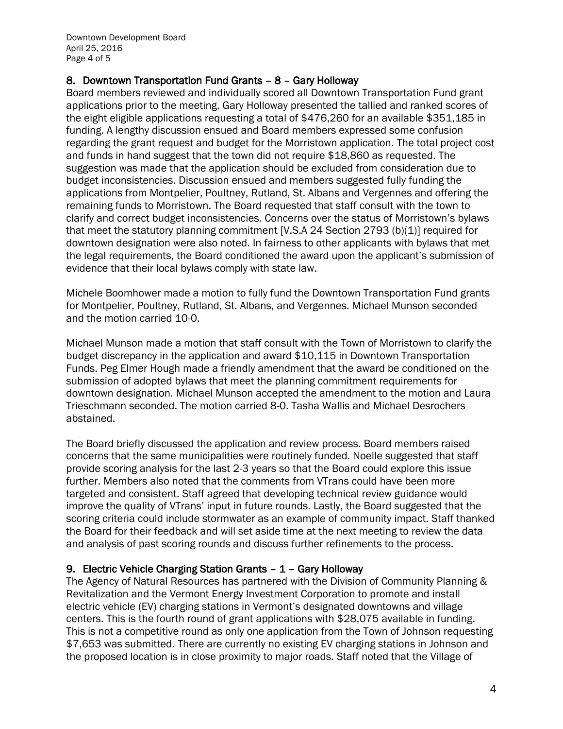# 8. Downtown Transportation Fund Grants – 8 – Gary Holloway

Board members reviewed and individually scored all Downtown Transportation Fund grant applications prior to the meeting. Gary Holloway presented the tallied and ranked scores of the eight eligible applications requesting a total of \$476,260 for an available \$351,185 in funding. A lengthy discussion ensued and Board members expressed some confusion regarding the grant request and budget for the Morristown application. The total project cost and funds in hand suggest that the town did not require \$18,860 as requested. The suggestion was made that the application should be excluded from consideration due to budget inconsistencies. Discussion ensued and members suggested fully funding the applications from Montpelier, Poultney, Rutland, St. Albans and Vergennes and offering the remaining funds to Morristown. The Board requested that staff consult with the town to clarify and correct budget inconsistencies. Concerns over the status of Morristown's bylaws that meet the statutory planning commitment [V.S.A 24 Section 2793 (b)(1)] required for downtown designation were also noted. In fairness to other applicants with bylaws that met the legal requirements, the Board conditioned the award upon the applicant's submission of evidence that their local bylaws comply with state law.

Michele Boomhower made a motion to fully fund the Downtown Transportation Fund grants for Montpelier, Poultney, Rutland, St. Albans, and Vergennes. Michael Munson seconded and the motion carried 10-0.

Michael Munson made a motion that staff consult with the Town of Morristown to clarify the budget discrepancy in the application and award \$10,115 in Downtown Transportation Funds. Peg Elmer Hough made a friendly amendment that the award be conditioned on the submission of adopted bylaws that meet the planning commitment requirements for downtown designation. Michael Munson accepted the amendment to the motion and Laura Trieschmann seconded. The motion carried 8-0. Tasha Wallis and Michael Desrochers abstained.

The Board briefly discussed the application and review process. Board members raised concerns that the same municipalities were routinely funded. Noelle suggested that staff provide scoring analysis for the last 2-3 years so that the Board could explore this issue further. Members also noted that the comments from VTrans could have been more targeted and consistent. Staff agreed that developing technical review guidance would improve the quality of VTrans' input in future rounds. Lastly, the Board suggested that the scoring criteria could include stormwater as an example of community impact. Staff thanked the Board for their feedback and will set aside time at the next meeting to review the data and analysis of past scoring rounds and discuss further refinements to the process.

# 9. Electric Vehicle Charging Station Grants - 1 - Gary Holloway

The Agency of Natural Resources has partnered with the Division of Community Planning & Revitalization and the Vermont Energy Investment Corporation to promote and install electric vehicle (EV) charging stations in Vermont's designated downtowns and village centers. This is the fourth round of grant applications with \$28,075 available in funding. This is not a competitive round as only one application from the Town of Johnson requesting \$7,653 was submitted. There are currently no existing EV charging stations in Johnson and the proposed location is in close proximity to major roads. Staff noted that the Village of